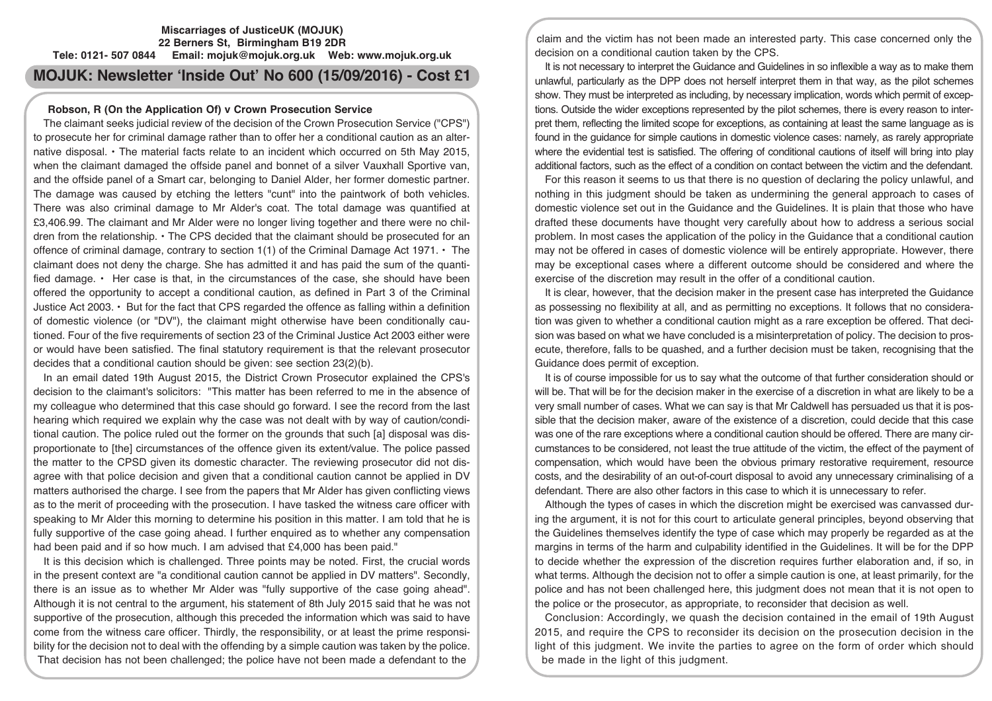### **Miscarriages of JusticeUK (MOJUK) 22 Berners St, Birmingham B19 2DR Tele: 0121- 507 0844 Email: mojuk@mojuk.org.uk Web: www.mojuk.org.uk**

**MOJUK: Newsletter 'Inside Out' No 600 (15/09/2016) - Cost £1**

## **Robson, R (On the Application Of) v Crown Prosecution Service**

The claimant seeks judicial review of the decision of the Crown Prosecution Service ("CPS") to prosecute her for criminal damage rather than to offer her a conditional caution as an alternative disposal. • The material facts relate to an incident which occurred on 5th May 2015, when the claimant damaged the offside panel and bonnet of a silver Vauxhall Sportive van, and the offside panel of a Smart car, belonging to Daniel Alder, her former domestic partner. The damage was caused by etching the letters "cunt" into the paintwork of both vehicles. There was also criminal damage to Mr Alder's coat. The total damage was quantified at £3,406.99. The claimant and Mr Alder were no longer living together and there were no children from the relationship. • The CPS decided that the claimant should be prosecuted for an offence of criminal damage, contrary to section 1(1) of the Criminal Damage Act 1971. • The claimant does not deny the charge. She has admitted it and has paid the sum of the quantified damage. • Her case is that, in the circumstances of the case, she should have been offered the opportunity to accept a conditional caution, as defined in Part 3 of the Criminal Justice Act 2003. • But for the fact that CPS regarded the offence as falling within a definition of domestic violence (or "DV"), the claimant might otherwise have been conditionally cautioned. Four of the five requirements of section 23 of the Criminal Justice Act 2003 either were or would have been satisfied. The final statutory requirement is that the relevant prosecutor decides that a conditional caution should be given: see section 23(2)(b).

In an email dated 19th August 2015, the District Crown Prosecutor explained the CPS's decision to the claimant's solicitors: "This matter has been referred to me in the absence of my colleague who determined that this case should go forward. I see the record from the last hearing which required we explain why the case was not dealt with by way of caution/conditional caution. The police ruled out the former on the grounds that such [a] disposal was disproportionate to [the] circumstances of the offence given its extent/value. The police passed the matter to the CPSD given its domestic character. The reviewing prosecutor did not disagree with that police decision and given that a conditional caution cannot be applied in DV matters authorised the charge. I see from the papers that Mr Alder has given conflicting views as to the merit of proceeding with the prosecution. I have tasked the witness care officer with speaking to Mr Alder this morning to determine his position in this matter. I am told that he is fully supportive of the case going ahead. I further enquired as to whether any compensation had been paid and if so how much. I am advised that £4,000 has been paid."

It is this decision which is challenged. Three points may be noted. First, the crucial words in the present context are "a conditional caution cannot be applied in DV matters". Secondly, there is an issue as to whether Mr Alder was "fully supportive of the case going ahead". Although it is not central to the argument, his statement of 8th July 2015 said that he was not supportive of the prosecution, although this preceded the information which was said to have come from the witness care officer. Thirdly, the responsibility, or at least the prime responsibility for the decision not to deal with the offending by a simple caution was taken by the police. That decision has not been challenged; the police have not been made a defendant to the

claim and the victim has not been made an interested party. This case concerned only the decision on a conditional caution taken by the CPS.

It is not necessary to interpret the Guidance and Guidelines in so inflexible a way as to make them unlawful, particularly as the DPP does not herself interpret them in that way, as the pilot schemes show. They must be interpreted as including, by necessary implication, words which permit of exceptions. Outside the wider exceptions represented by the pilot schemes, there is every reason to interpret them, reflecting the limited scope for exceptions, as containing at least the same language as is found in the guidance for simple cautions in domestic violence cases: namely, as rarely appropriate where the evidential test is satisfied. The offering of conditional cautions of itself will bring into play additional factors, such as the effect of a condition on contact between the victim and the defendant.

For this reason it seems to us that there is no question of declaring the policy unlawful, and nothing in this judgment should be taken as undermining the general approach to cases of domestic violence set out in the Guidance and the Guidelines. It is plain that those who have drafted these documents have thought very carefully about how to address a serious social problem. In most cases the application of the policy in the Guidance that a conditional caution may not be offered in cases of domestic violence will be entirely appropriate. However, there may be exceptional cases where a different outcome should be considered and where the exercise of the discretion may result in the offer of a conditional caution.

It is clear, however, that the decision maker in the present case has interpreted the Guidance as possessing no flexibility at all, and as permitting no exceptions. It follows that no consideration was given to whether a conditional caution might as a rare exception be offered. That decision was based on what we have concluded is a misinterpretation of policy. The decision to prosecute, therefore, falls to be quashed, and a further decision must be taken, recognising that the Guidance does permit of exception.

It is of course impossible for us to say what the outcome of that further consideration should or will be. That will be for the decision maker in the exercise of a discretion in what are likely to be a very small number of cases. What we can say is that Mr Caldwell has persuaded us that it is possible that the decision maker, aware of the existence of a discretion, could decide that this case was one of the rare exceptions where a conditional caution should be offered. There are many circumstances to be considered, not least the true attitude of the victim, the effect of the payment of compensation, which would have been the obvious primary restorative requirement, resource costs, and the desirability of an out-of-court disposal to avoid any unnecessary criminalising of a defendant. There are also other factors in this case to which it is unnecessary to refer.

Although the types of cases in which the discretion might be exercised was canvassed during the argument, it is not for this court to articulate general principles, beyond observing that the Guidelines themselves identify the type of case which may properly be regarded as at the margins in terms of the harm and culpability identified in the Guidelines. It will be for the DPP to decide whether the expression of the discretion requires further elaboration and, if so, in what terms. Although the decision not to offer a simple caution is one, at least primarily, for the police and has not been challenged here, this judgment does not mean that it is not open to the police or the prosecutor, as appropriate, to reconsider that decision as well.

Conclusion: Accordingly, we quash the decision contained in the email of 19th August 2015, and require the CPS to reconsider its decision on the prosecution decision in the light of this judgment. We invite the parties to agree on the form of order which should be made in the light of this judgment.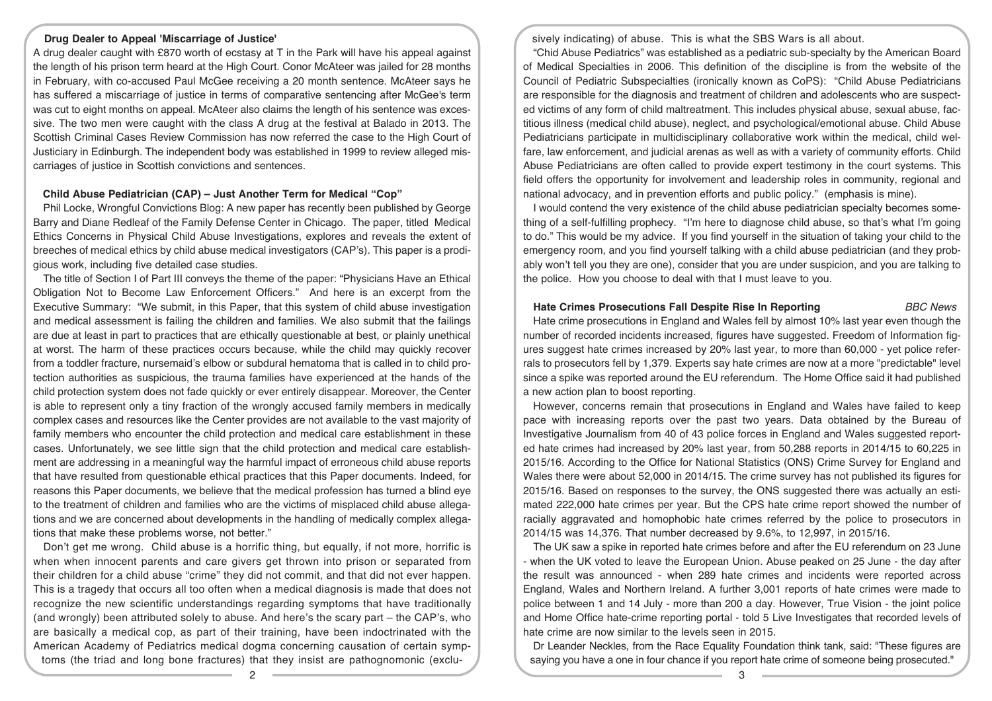## **Drug Dealer to Appeal 'Miscarriage of Justice'**

A drug dealer caught with £870 worth of ecstasy at T in the Park will have his appeal against the length of his prison term heard at the High Court. Conor McAteer was jailed for 28 months in February, with co-accused Paul McGee receiving a 20 month sentence. McAteer says he has suffered a miscarriage of justice in terms of comparative sentencing after McGee's term was cut to eight months on appeal. McAteer also claims the length of his sentence was excessive. The two men were caught with the class A drug at the festival at Balado in 2013. The Scottish Criminal Cases Review Commission has now referred the case to the High Court of Justiciary in Edinburgh. The independent body was established in 1999 to review alleged miscarriages of justice in Scottish convictions and sentences.

### **Child Abuse Pediatrician (CAP) – Just Another Term for Medical "Cop"**

Phil Locke, Wrongful Convictions Blog: A new paper has recently been published by George Barry and Diane Redleaf of the Family Defense Center in Chicago. The paper, titled Medical Ethics Concerns in Physical Child Abuse Investigations, explores and reveals the extent of breeches of medical ethics by child abuse medical investigators (CAP's). This paper is a prodigious work, including five detailed case studies.

The title of Section I of Part III conveys the theme of the paper: "Physicians Have an Ethical Obligation Not to Become Law Enforcement Officers." And here is an excerpt from the Executive Summary: "We submit, in this Paper, that this system of child abuse investigation and medical assessment is failing the children and families. We also submit that the failings are due at least in part to practices that are ethically questionable at best, or plainly unethical at worst. The harm of these practices occurs because, while the child may quickly recover from a toddler fracture, nursemaid's elbow or subdural hematoma that is called in to child protection authorities as suspicious, the trauma families have experienced at the hands of the child protection system does not fade quickly or ever entirely disappear. Moreover, the Center is able to represent only a tiny fraction of the wrongly accused family members in medically complex cases and resources like the Center provides are not available to the vast majority of family members who encounter the child protection and medical care establishment in these cases. Unfortunately, we see little sign that the child protection and medical care establishment are addressing in a meaningful way the harmful impact of erroneous child abuse reports that have resulted from questionable ethical practices that this Paper documents. Indeed, for reasons this Paper documents, we believe that the medical profession has turned a blind eye to the treatment of children and families who are the victims of misplaced child abuse allegations and we are concerned about developments in the handling of medically complex allegations that make these problems worse, not better."

Don't get me wrong. Child abuse is a horrific thing, but equally, if not more, horrific is when when innocent parents and care givers get thrown into prison or separated from their children for a child abuse "crime" they did not commit, and that did not ever happen. This is a tragedy that occurs all too often when a medical diagnosis is made that does not recognize the new scientific understandings regarding symptoms that have traditionally (and wrongly) been attributed solely to abuse. And here's the scary part – the CAP's, who are basically a medical cop, as part of their training, have been indoctrinated with the American Academy of Pediatrics medical dogma concerning causation of certain symptoms (the triad and long bone fractures) that they insist are pathognomonic (exclusively indicating) of abuse. This is what the SBS Wars is all about.

"Chid Abuse Pediatrics" was established as a pediatric sub-specialty by the American Board of Medical Specialties in 2006. This definition of the discipline is from the website of the Council of Pediatric Subspecialties (ironically known as CoPS): "Child Abuse Pediatricians are responsible for the diagnosis and treatment of children and adolescents who are suspected victims of any form of child maltreatment. This includes physical abuse, sexual abuse, factitious illness (medical child abuse), neglect, and psychological/emotional abuse. Child Abuse Pediatricians participate in multidisciplinary collaborative work within the medical, child welfare, law enforcement, and judicial arenas as well as with a variety of community efforts. Child Abuse Pediatricians are often called to provide expert testimony in the court systems. This field offers the opportunity for involvement and leadership roles in community, regional and national advocacy, and in prevention efforts and public policy." (emphasis is mine).

I would contend the very existence of the child abuse pediatrician specialty becomes something of a self-fulfilling prophecy. "I'm here to diagnose child abuse, so that's what I'm going to do." This would be my advice. If you find yourself in the situation of taking your child to the emergency room, and you find yourself talking with a child abuse pediatrician (and they probably won't tell you they are one), consider that you are under suspicion, and you are talking to the police. How you choose to deal with that I must leave to you.

## **Hate Crimes Prosecutions Fall Despite Rise In Reporting** *BBC News*

Hate crime prosecutions in England and Wales fell by almost 10% last year even though the number of recorded incidents increased, figures have suggested. Freedom of Information figures suggest hate crimes increased by 20% last year, to more than 60,000 - yet police referrals to prosecutors fell by 1,379. Experts say hate crimes are now at a more "predictable" level since a spike was reported around the EU referendum. The Home Office said it had published a new action plan to boost reporting.

However, concerns remain that prosecutions in England and Wales have failed to keep pace with increasing reports over the past two years. Data obtained by the Bureau of Investigative Journalism from 40 of 43 police forces in England and Wales suggested reported hate crimes had increased by 20% last year, from 50,288 reports in 2014/15 to 60,225 in 2015/16. According to the Office for National Statistics (ONS) Crime Survey for England and Wales there were about 52,000 in 2014/15. The crime survey has not published its figures for 2015/16. Based on responses to the survey, the ONS suggested there was actually an estimated 222,000 hate crimes per year. But the CPS hate crime report showed the number of racially aggravated and homophobic hate crimes referred by the police to prosecutors in 2014/15 was 14,376. That number decreased by 9.6%, to 12,997, in 2015/16.

The UK saw a spike in reported hate crimes before and after the EU referendum on 23 June - when the UK voted to leave the European Union. Abuse peaked on 25 June - the day after the result was announced - when 289 hate crimes and incidents were reported across England, Wales and Northern Ireland. A further 3,001 reports of hate crimes were made to police between 1 and 14 July - more than 200 a day. However, True Vision - the joint police and Home Office hate-crime reporting portal - told 5 Live Investigates that recorded levels of hate crime are now similar to the levels seen in 2015.

Dr Leander Neckles, from the Race Equality Foundation think tank, said: "These figures are saying you have a one in four chance if you report hate crime of someone being prosecuted."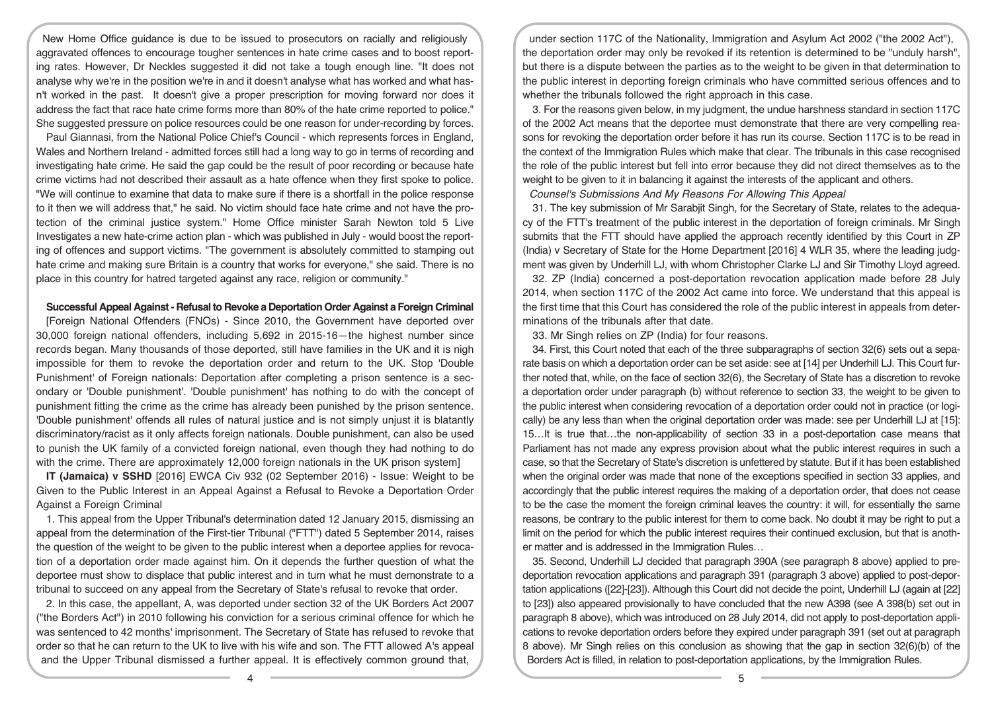New Home Office guidance is due to be issued to prosecutors on racially and religiously aggravated offences to encourage tougher sentences in hate crime cases and to boost reporting rates. However, Dr Neckles suggested it did not take a tough enough line. "It does not analyse why we're in the position we're in and it doesn't analyse what has worked and what hasn't worked in the past. It doesn't give a proper prescription for moving forward nor does it address the fact that race hate crime forms more than 80% of the hate crime reported to police." She suggested pressure on police resources could be one reason for under-recording by forces.

Paul Giannasi, from the National Police Chief's Council - which represents forces in England, Wales and Northern Ireland - admitted forces still had a long way to go in terms of recording and investigating hate crime. He said the gap could be the result of poor recording or because hate crime victims had not described their assault as a hate offence when they first spoke to police. "We will continue to examine that data to make sure if there is a shortfall in the police response to it then we will address that," he said. No victim should face hate crime and not have the protection of the criminal justice system." Home Office minister Sarah Newton told 5 Live Investigates a new hate-crime action plan - which was published in July - would boost the reporting of offences and support victims. "The government is absolutely committed to stamping out hate crime and making sure Britain is a country that works for everyone," she said. There is no place in this country for hatred targeted against any race, religion or community."

#### **Successful Appeal Against- Refusalto Revoke a Deportation Order Against a Foreign Criminal**

[Foreign National Offenders (FNOs) - Since 2010, the Government have deported over 30,000 foreign national offenders, including 5,692 in 2015-16—the highest number since records began. Many thousands of those deported, still have families in the UK and it is nigh impossible for them to revoke the deportation order and return to the UK. Stop 'Double Punishment' of Foreign nationals: Deportation after completing a prison sentence is a secondary or 'Double punishment'. 'Double punishment' has nothing to do with the concept of punishment fitting the crime as the crime has already been punished by the prison sentence. 'Double punishment' offends all rules of natural justice and is not simply unjust it is blatantly discriminatory/racist as it only affects foreign nationals. Double punishment, can also be used to punish the UK family of a convicted foreign national, even though they had nothing to do with the crime. There are approximately 12,000 foreign nationals in the UK prison system]

**IT (Jamaica) v SSHD** [2016] EWCA Civ 932 (02 September 2016) - Issue: Weight to be Given to the Public Interest in an Appeal Against a Refusal to Revoke a Deportation Order Against a Foreign Criminal

1. This appeal from the Upper Tribunal's determination dated 12 January 2015, dismissing an appeal from the determination of the First-tier Tribunal ("FTT") dated 5 September 2014, raises the question of the weight to be given to the public interest when a deportee applies for revocation of a deportation order made against him. On it depends the further question of what the deportee must show to displace that public interest and in turn what he must demonstrate to a tribunal to succeed on any appeal from the Secretary of State's refusal to revoke that order.

2. In this case, the appellant, A, was deported under section 32 of the UK Borders Act 2007 ("the Borders Act") in 2010 following his conviction for a serious criminal offence for which he was sentenced to 42 months' imprisonment. The Secretary of State has refused to revoke that order so that he can return to the UK to live with his wife and son. The FTT allowed A's appeal and the Upper Tribunal dismissed a further appeal. It is effectively common ground that,

under section 117C of the Nationality, Immigration and Asylum Act 2002 ("the 2002 Act"), the deportation order may only be revoked if its retention is determined to be "unduly harsh", but there is a dispute between the parties as to the weight to be given in that determination to the public interest in deporting foreign criminals who have committed serious offences and to whether the tribunals followed the right approach in this case.

3. For the reasons given below, in my judgment, the undue harshness standard in section 117C of the 2002 Act means that the deportee must demonstrate that there are very compelling reasons for revoking the deportation order before it has run its course. Section 117C is to be read in the context of the Immigration Rules which make that clear. The tribunals in this case recognised the role of the public interest but fell into error because they did not direct themselves as to the weight to be given to it in balancing it against the interests of the applicant and others.

*Counsel's Submissions And My Reasons For Allowing This Appeal*

31. The key submission of Mr Sarabjit Singh, for the Secretary of State, relates to the adequacy of the FTT's treatment of the public interest in the deportation of foreign criminals. Mr Singh submits that the FTT should have applied the approach recently identified by this Court in ZP (India) v Secretary of State for the Home Department [2016] 4 WLR 35, where the leading judgment was given by Underhill LJ, with whom Christopher Clarke LJ and Sir Timothy Lloyd agreed.

32. ZP (India) concerned a post-deportation revocation application made before 28 July 2014, when section 117C of the 2002 Act came into force. We understand that this appeal is the first time that this Court has considered the role of the public interest in appeals from determinations of the tribunals after that date.

33. Mr Singh relies on ZP (India) for four reasons.

34. First, this Court noted that each of the three subparagraphs of section 32(6) sets out a separate basis on which a deportation order can be set aside: see at [14] per Underhill LJ. This Court further noted that, while, on the face of section 32(6), the Secretary of State has a discretion to revoke a deportation order under paragraph (b) without reference to section 33, the weight to be given to the public interest when considering revocation of a deportation order could not in practice (or logically) be any less than when the original deportation order was made: see per Underhill LJ at [15]: 15…It is true that…the non-applicability of section 33 in a post-deportation case means that Parliament has not made any express provision about what the public interest requires in such a case, so that the Secretary of State's discretion is unfettered by statute. But if it has been established when the original order was made that none of the exceptions specified in section 33 applies, and accordingly that the public interest requires the making of a deportation order, that does not cease to be the case the moment the foreign criminal leaves the country: it will, for essentially the same reasons, be contrary to the public interest for them to come back. No doubt it may be right to put a limit on the period for which the public interest requires their continued exclusion, but that is another matter and is addressed in the Immigration Rules…

35. Second, Underhill LJ decided that paragraph 390A (see paragraph 8 above) applied to predeportation revocation applications and paragraph 391 (paragraph 3 above) applied to post-deportation applications ([22]-[23]). Although this Court did not decide the point, Underhill LJ (again at [22] to [23]) also appeared provisionally to have concluded that the new A398 (see A 398(b) set out in paragraph 8 above), which was introduced on 28 July 2014, did not apply to post-deportation applications to revoke deportation orders before they expired under paragraph 391 (set out at paragraph 8 above). Mr Singh relies on this conclusion as showing that the gap in section 32(6)(b) of the Borders Act is filled, in relation to post-deportation applications, by the Immigration Rules.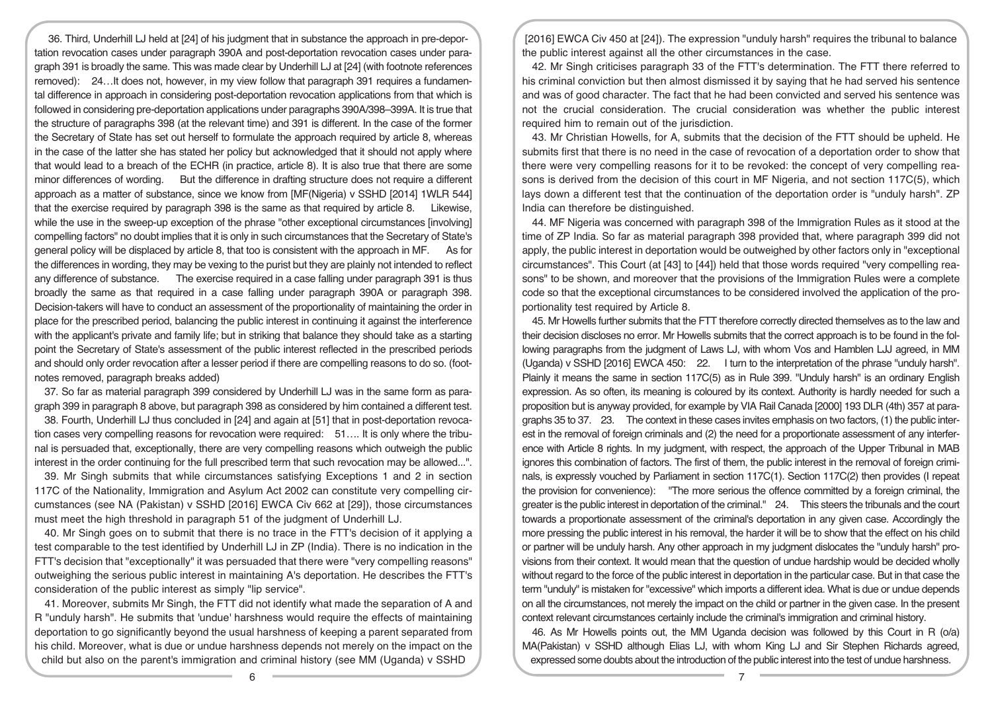36. Third, Underhill LJ held at [24] of his judgment that in substance the approach in pre-deportation revocation cases under paragraph 390A and post-deportation revocation cases under paragraph 391 is broadly the same. This was made clear by Underhill LJ at [24] (with footnote references removed): 24…It does not, however, in my view follow that paragraph 391 requires a fundamental difference in approach in considering post-deportation revocation applications from that which is followed in considering pre-deportation applications under paragraphs 390A/398–399A. It is true that the structure of paragraphs 398 (at the relevant time) and 391 is different. In the case of the former the Secretary of State has set out herself to formulate the approach required by article 8, whereas in the case of the latter she has stated her policy but acknowledged that it should not apply where that would lead to a breach of the ECHR (in practice, article 8). It is also true that there are some minor differences of wording. But the difference in drafting structure does not require a different approach as a matter of substance, since we know from [MF(Nigeria) v SSHD [2014] 1WLR 544] that the exercise required by paragraph 398 is the same as that required by article 8. Likewise, while the use in the sweep-up exception of the phrase "other exceptional circumstances [involving] compelling factors" no doubt implies that it is only in such circumstances that the Secretary of State's general policy will be displaced by article 8, that too is consistent with the approach in MF. As for the differences in wording, they may be vexing to the purist but they are plainly not intended to reflect any difference of substance. The exercise required in a case falling under paragraph 391 is thus broadly the same as that required in a case falling under paragraph 390A or paragraph 398. Decision-takers will have to conduct an assessment of the proportionality of maintaining the order in place for the prescribed period, balancing the public interest in continuing it against the interference with the applicant's private and family life; but in striking that balance they should take as a starting point the Secretary of State's assessment of the public interest reflected in the prescribed periods and should only order revocation after a lesser period if there are compelling reasons to do so. (footnotes removed, paragraph breaks added)

37. So far as material paragraph 399 considered by Underhill LJ was in the same form as paragraph 399 in paragraph 8 above, but paragraph 398 as considered by him contained a different test.

38. Fourth, Underhill LJ thus concluded in [24] and again at [51] that in post-deportation revocation cases very compelling reasons for revocation were required: 51…. It is only where the tribunal is persuaded that, exceptionally, there are very compelling reasons which outweigh the public interest in the order continuing for the full prescribed term that such revocation may be allowed...".

39. Mr Singh submits that while circumstances satisfying Exceptions 1 and 2 in section 117C of the Nationality, Immigration and Asylum Act 2002 can constitute very compelling circumstances (see NA (Pakistan) v SSHD [2016] EWCA Civ 662 at [29]), those circumstances must meet the high threshold in paragraph 51 of the judgment of Underhill LJ.

40. Mr Singh goes on to submit that there is no trace in the FTT's decision of it applying a test comparable to the test identified by Underhill LJ in ZP (India). There is no indication in the FTT's decision that "exceptionally" it was persuaded that there were "very compelling reasons" outweighing the serious public interest in maintaining A's deportation. He describes the FTT's consideration of the public interest as simply "lip service".

41. Moreover, submits Mr Singh, the FTT did not identify what made the separation of A and R "unduly harsh". He submits that 'undue' harshness would require the effects of maintaining deportation to go significantly beyond the usual harshness of keeping a parent separated from his child. Moreover, what is due or undue harshness depends not merely on the impact on the child but also on the parent's immigration and criminal history (see MM (Uganda) v SSHD

[2016] EWCA Civ 450 at [24]). The expression "unduly harsh" requires the tribunal to balance the public interest against all the other circumstances in the case.

42. Mr Singh criticises paragraph 33 of the FTT's determination. The FTT there referred to his criminal conviction but then almost dismissed it by saying that he had served his sentence and was of good character. The fact that he had been convicted and served his sentence was not the crucial consideration. The crucial consideration was whether the public interest required him to remain out of the jurisdiction.

43. Mr Christian Howells, for A, submits that the decision of the FTT should be upheld. He submits first that there is no need in the case of revocation of a deportation order to show that there were very compelling reasons for it to be revoked: the concept of very compelling reasons is derived from the decision of this court in MF Nigeria, and not section 117C(5), which lays down a different test that the continuation of the deportation order is "unduly harsh". ZP India can therefore be distinguished.

44. MF Nigeria was concerned with paragraph 398 of the Immigration Rules as it stood at the time of ZP India. So far as material paragraph 398 provided that, where paragraph 399 did not apply, the public interest in deportation would be outweighed by other factors only in "exceptional circumstances". This Court (at [43] to [44]) held that those words required "very compelling reasons" to be shown, and moreover that the provisions of the Immigration Rules were a complete code so that the exceptional circumstances to be considered involved the application of the proportionality test required by Article 8.

45. Mr Howells further submits that the FTT therefore correctly directed themselves as to the law and their decision discloses no error. Mr Howells submits that the correct approach is to be found in the following paragraphs from the judgment of Laws LJ, with whom Vos and Hamblen LJJ agreed, in MM (Uganda) v SSHD [2016] EWCA 450: 22. I turn to the interpretation of the phrase "unduly harsh". Plainly it means the same in section 117C(5) as in Rule 399. "Unduly harsh" is an ordinary English expression. As so often, its meaning is coloured by its context. Authority is hardly needed for such a proposition but is anyway provided, for example by VIA Rail Canada [2000] 193 DLR (4th) 357 at paragraphs 35 to 37. 23. The context in these cases invites emphasis on two factors, (1) the public interest in the removal of foreign criminals and (2) the need for a proportionate assessment of any interference with Article 8 rights. In my judgment, with respect, the approach of the Upper Tribunal in MAB ignores this combination of factors. The first of them, the public interest in the removal of foreign criminals, is expressly vouched by Parliament in section 117C(1). Section 117C(2) then provides (I repeat the provision for convenience): "The more serious the offence committed by a foreign criminal, the greater is the public interest in deportation of the criminal." 24. This steers the tribunals and the court towards a proportionate assessment of the criminal's deportation in any given case. Accordingly the more pressing the public interest in his removal, the harder it will be to show that the effect on his child or partner will be unduly harsh. Any other approach in my judgment dislocates the "unduly harsh" provisions from their context. It would mean that the question of undue hardship would be decided wholly without regard to the force of the public interest in deportation in the particular case. But in that case the term "unduly" is mistaken for "excessive" which imports a different idea. What is due or undue depends on all the circumstances, not merely the impact on the child or partner in the given case. In the present context relevant circumstances certainly include the criminal's immigration and criminal history.

46. As Mr Howells points out, the MM Uganda decision was followed by this Court in R (o/a) MA(Pakistan) v SSHD although Elias LJ, with whom King LJ and Sir Stephen Richards agreed, expressed some doubts about the introduction of the public interest into the test of undue harshness.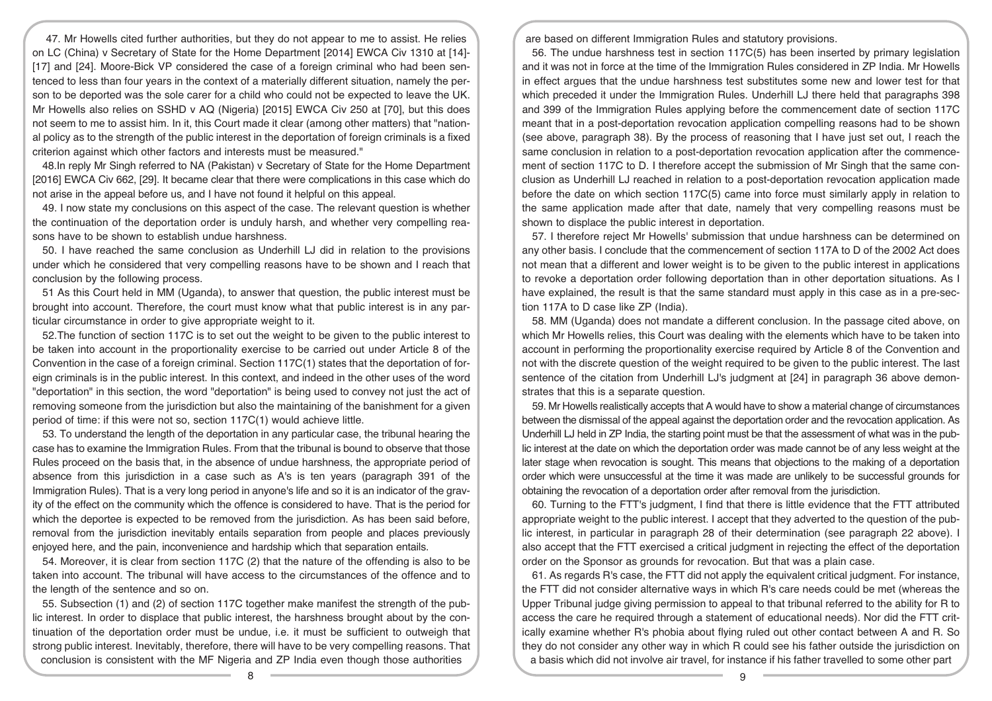47. Mr Howells cited further authorities, but they do not appear to me to assist. He relies on LC (China) v Secretary of State for the Home Department [2014] EWCA Civ 1310 at [14]- [17] and [24]. Moore-Bick VP considered the case of a foreign criminal who had been sentenced to less than four years in the context of a materially different situation, namely the person to be deported was the sole carer for a child who could not be expected to leave the UK. Mr Howells also relies on SSHD v AQ (Nigeria) [2015] EWCA Civ 250 at [70], but this does not seem to me to assist him. In it, this Court made it clear (among other matters) that "national policy as to the strength of the public interest in the deportation of foreign criminals is a fixed criterion against which other factors and interests must be measured."

48.In reply Mr Singh referred to NA (Pakistan) v Secretary of State for the Home Department [2016] EWCA Civ 662, [29]. It became clear that there were complications in this case which do not arise in the appeal before us, and I have not found it helpful on this appeal.

49. I now state my conclusions on this aspect of the case. The relevant question is whether the continuation of the deportation order is unduly harsh, and whether very compelling reasons have to be shown to establish undue harshness.

50. I have reached the same conclusion as Underhill LJ did in relation to the provisions under which he considered that very compelling reasons have to be shown and I reach that conclusion by the following process.

51 As this Court held in MM (Uganda), to answer that question, the public interest must be brought into account. Therefore, the court must know what that public interest is in any particular circumstance in order to give appropriate weight to it.

52.The function of section 117C is to set out the weight to be given to the public interest to be taken into account in the proportionality exercise to be carried out under Article 8 of the Convention in the case of a foreign criminal. Section 117C(1) states that the deportation of foreign criminals is in the public interest. In this context, and indeed in the other uses of the word "deportation" in this section, the word "deportation" is being used to convey not just the act of removing someone from the jurisdiction but also the maintaining of the banishment for a given period of time: if this were not so, section 117C(1) would achieve little.

53. To understand the length of the deportation in any particular case, the tribunal hearing the case has to examine the Immigration Rules. From that the tribunal is bound to observe that those Rules proceed on the basis that, in the absence of undue harshness, the appropriate period of absence from this jurisdiction in a case such as A's is ten years (paragraph 391 of the Immigration Rules). That is a very long period in anyone's life and so it is an indicator of the gravity of the effect on the community which the offence is considered to have. That is the period for which the deportee is expected to be removed from the jurisdiction. As has been said before, removal from the jurisdiction inevitably entails separation from people and places previously enjoyed here, and the pain, inconvenience and hardship which that separation entails.

54. Moreover, it is clear from section 117C (2) that the nature of the offending is also to be taken into account. The tribunal will have access to the circumstances of the offence and to the length of the sentence and so on.

55. Subsection (1) and (2) of section 117C together make manifest the strength of the public interest. In order to displace that public interest, the harshness brought about by the continuation of the deportation order must be undue, i.e. it must be sufficient to outweigh that strong public interest. Inevitably, therefore, there will have to be very compelling reasons. That conclusion is consistent with the MF Nigeria and ZP India even though those authorities

are based on different Immigration Rules and statutory provisions.

56. The undue harshness test in section 117C(5) has been inserted by primary legislation and it was not in force at the time of the Immigration Rules considered in ZP India. Mr Howells in effect argues that the undue harshness test substitutes some new and lower test for that which preceded it under the Immigration Rules. Underhill LJ there held that paragraphs 398 and 399 of the Immigration Rules applying before the commencement date of section 117C meant that in a post-deportation revocation application compelling reasons had to be shown (see above, paragraph 38). By the process of reasoning that I have just set out, I reach the same conclusion in relation to a post-deportation revocation application after the commencement of section 117C to D. I therefore accept the submission of Mr Singh that the same conclusion as Underhill LJ reached in relation to a post-deportation revocation application made before the date on which section 117C(5) came into force must similarly apply in relation to the same application made after that date, namely that very compelling reasons must be shown to displace the public interest in deportation.

57. I therefore reject Mr Howells' submission that undue harshness can be determined on any other basis. I conclude that the commencement of section 117A to D of the 2002 Act does not mean that a different and lower weight is to be given to the public interest in applications to revoke a deportation order following deportation than in other deportation situations. As I have explained, the result is that the same standard must apply in this case as in a pre-section 117A to D case like ZP (India).

58. MM (Uganda) does not mandate a different conclusion. In the passage cited above, on which Mr Howells relies, this Court was dealing with the elements which have to be taken into account in performing the proportionality exercise required by Article 8 of the Convention and not with the discrete question of the weight required to be given to the public interest. The last sentence of the citation from Underhill LJ's judgment at [24] in paragraph 36 above demonstrates that this is a separate question.

59. Mr Howells realistically accepts that A would have to show a material change of circumstances between the dismissal of the appeal against the deportation order and the revocation application. As Underhill LJ held in ZP India, the starting point must be that the assessment of what was in the public interest at the date on which the deportation order was made cannot be of any less weight at the later stage when revocation is sought. This means that objections to the making of a deportation order which were unsuccessful at the time it was made are unlikely to be successful grounds for obtaining the revocation of a deportation order after removal from the jurisdiction.

60. Turning to the FTT's judgment, I find that there is little evidence that the FTT attributed appropriate weight to the public interest. I accept that they adverted to the question of the public interest, in particular in paragraph 28 of their determination (see paragraph 22 above). I also accept that the FTT exercised a critical judgment in rejecting the effect of the deportation order on the Sponsor as grounds for revocation. But that was a plain case.

61. As regards R's case, the FTT did not apply the equivalent critical judgment. For instance, the FTT did not consider alternative ways in which R's care needs could be met (whereas the Upper Tribunal judge giving permission to appeal to that tribunal referred to the ability for R to access the care he required through a statement of educational needs). Nor did the FTT critically examine whether R's phobia about flying ruled out other contact between A and R. So they do not consider any other way in which R could see his father outside the jurisdiction on a basis which did not involve air travel, for instance if his father travelled to some other part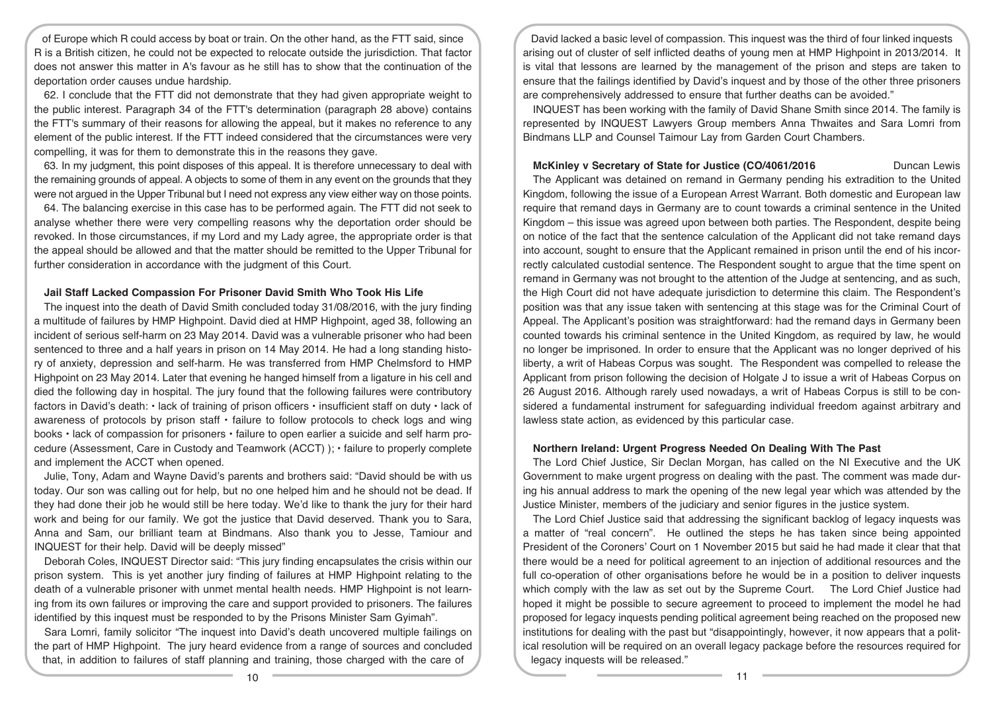of Europe which R could access by boat or train. On the other hand, as the FTT said, since R is a British citizen, he could not be expected to relocate outside the jurisdiction. That factor does not answer this matter in A's favour as he still has to show that the continuation of the deportation order causes undue hardship.

62. I conclude that the FTT did not demonstrate that they had given appropriate weight to the public interest. Paragraph 34 of the FTT's determination (paragraph 28 above) contains the FTT's summary of their reasons for allowing the appeal, but it makes no reference to any element of the public interest. If the FTT indeed considered that the circumstances were very compelling, it was for them to demonstrate this in the reasons they gave.

63. In my judgment, this point disposes of this appeal. It is therefore unnecessary to deal with the remaining grounds of appeal. A objects to some of them in any event on the grounds that they were not argued in the Upper Tribunal but I need not express any view either way on those points.

64. The balancing exercise in this case has to be performed again. The FTT did not seek to analyse whether there were very compelling reasons why the deportation order should be revoked. In those circumstances, if my Lord and my Lady agree, the appropriate order is that the appeal should be allowed and that the matter should be remitted to the Upper Tribunal for further consideration in accordance with the judgment of this Court.

# **Jail Staff Lacked Compassion For Prisoner David Smith Who Took His Life**

The inquest into the death of David Smith concluded today 31/08/2016, with the jury finding a multitude of failures by HMP Highpoint. David died at HMP Highpoint, aged 38, following an incident of serious self-harm on 23 May 2014. David was a vulnerable prisoner who had been sentenced to three and a half years in prison on 14 May 2014. He had a long standing history of anxiety, depression and self-harm. He was transferred from HMP Chelmsford to HMP Highpoint on 23 May 2014. Later that evening he hanged himself from a ligature in his cell and died the following day in hospital. The jury found that the following failures were contributory factors in David's death: • lack of training of prison officers • insufficient staff on duty • lack of awareness of protocols by prison staff • failure to follow protocols to check logs and wing books • lack of compassion for prisoners • failure to open earlier a suicide and self harm procedure (Assessment, Care in Custody and Teamwork (ACCT) ); • failure to properly complete and implement the ACCT when opened.

Julie, Tony, Adam and Wayne David's parents and brothers said: "David should be with us today. Our son was calling out for help, but no one helped him and he should not be dead. If they had done their job he would still be here today. We'd like to thank the jury for their hard work and being for our family. We got the justice that David deserved. Thank you to Sara, Anna and Sam, our brilliant team at Bindmans. Also thank you to Jesse, Tamiour and INQUEST for their help. David will be deeply missed"

Deborah Coles, INQUEST Director said: "This jury finding encapsulates the crisis within our prison system. This is yet another jury finding of failures at HMP Highpoint relating to the death of a vulnerable prisoner with unmet mental health needs. HMP Highpoint is not learning from its own failures or improving the care and support provided to prisoners. The failures identified by this inquest must be responded to by the Prisons Minister Sam Gyimah".

Sara Lomri, family solicitor "The inquest into David's death uncovered multiple failings on the part of HMP Highpoint. The jury heard evidence from a range of sources and concluded that, in addition to failures of staff planning and training, those charged with the care of

David lacked a basic level of compassion. This inquest was the third of four linked inquests arising out of cluster of self inflicted deaths of young men at HMP Highpoint in 2013/2014. It is vital that lessons are learned by the management of the prison and steps are taken to ensure that the failings identified by David's inquest and by those of the other three prisoners are comprehensively addressed to ensure that further deaths can be avoided."

INQUEST has been working with the family of David Shane Smith since 2014. The family is represented by INQUEST Lawyers Group members Anna Thwaites and Sara Lomri from Bindmans LLP and Counsel Taimour Lay from Garden Court Chambers.

# **McKinley v Secretary of State for Justice (CO/4061/2016** Duncan Lewis

The Applicant was detained on remand in Germany pending his extradition to the United Kingdom, following the issue of a European Arrest Warrant. Both domestic and European law require that remand days in Germany are to count towards a criminal sentence in the United Kingdom – this issue was agreed upon between both parties. The Respondent, despite being on notice of the fact that the sentence calculation of the Applicant did not take remand days into account, sought to ensure that the Applicant remained in prison until the end of his incorrectly calculated custodial sentence. The Respondent sought to argue that the time spent on remand in Germany was not brought to the attention of the Judge at sentencing, and as such, the High Court did not have adequate jurisdiction to determine this claim. The Respondent's position was that any issue taken with sentencing at this stage was for the Criminal Court of Appeal. The Applicant's position was straightforward: had the remand days in Germany been counted towards his criminal sentence in the United Kingdom, as required by law, he would no longer be imprisoned. In order to ensure that the Applicant was no longer deprived of his liberty, a writ of Habeas Corpus was sought. The Respondent was compelled to release the Applicant from prison following the decision of Holgate J to issue a writ of Habeas Corpus on 26 August 2016. Although rarely used nowadays, a writ of Habeas Corpus is still to be considered a fundamental instrument for safeguarding individual freedom against arbitrary and lawless state action, as evidenced by this particular case.

# **Northern Ireland: Urgent Progress Needed On Dealing With The Past**

The Lord Chief Justice, Sir Declan Morgan, has called on the NI Executive and the UK Government to make urgent progress on dealing with the past. The comment was made during his annual address to mark the opening of the new legal year which was attended by the Justice Minister, members of the judiciary and senior figures in the justice system.

The Lord Chief Justice said that addressing the significant backlog of legacy inquests was a matter of "real concern". He outlined the steps he has taken since being appointed President of the Coroners' Court on 1 November 2015 but said he had made it clear that that there would be a need for political agreement to an injection of additional resources and the full co-operation of other organisations before he would be in a position to deliver inquests which comply with the law as set out by the Supreme Court. The Lord Chief Justice had hoped it might be possible to secure agreement to proceed to implement the model he had proposed for legacy inquests pending political agreement being reached on the proposed new institutions for dealing with the past but "disappointingly, however, it now appears that a political resolution will be required on an overall legacy package before the resources required for legacy inquests will be released."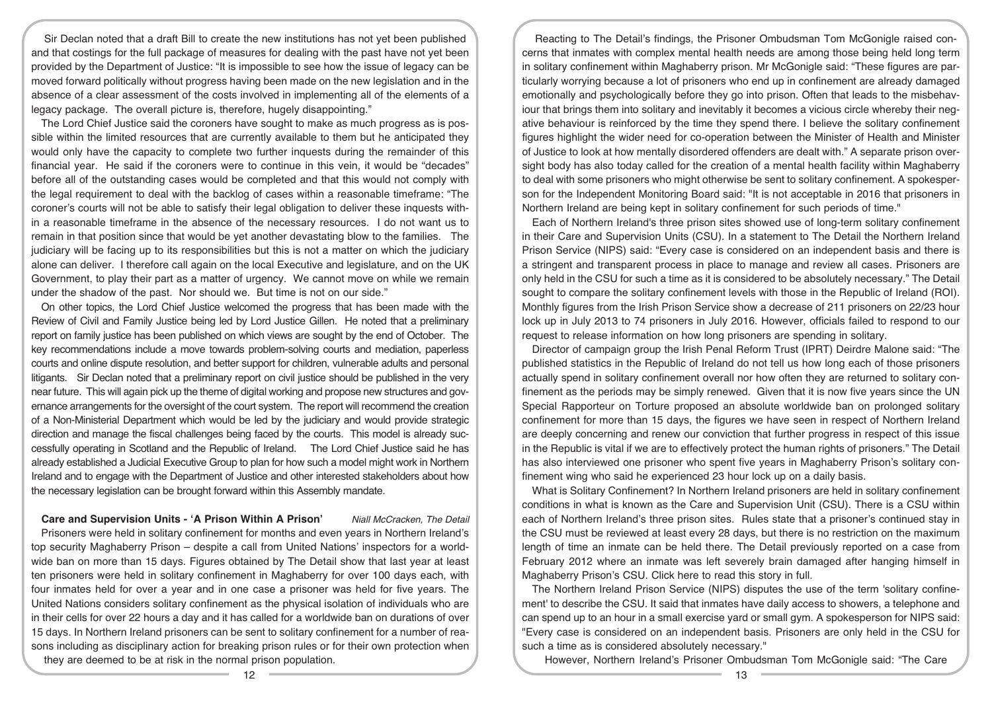Sir Declan noted that a draft Bill to create the new institutions has not yet been published and that costings for the full package of measures for dealing with the past have not yet been provided by the Department of Justice: "It is impossible to see how the issue of legacy can be moved forward politically without progress having been made on the new legislation and in the absence of a clear assessment of the costs involved in implementing all of the elements of a legacy package. The overall picture is, therefore, hugely disappointing."

The Lord Chief Justice said the coroners have sought to make as much progress as is possible within the limited resources that are currently available to them but he anticipated they would only have the capacity to complete two further inquests during the remainder of this financial year. He said if the coroners were to continue in this vein, it would be "decades" before all of the outstanding cases would be completed and that this would not comply with the legal requirement to deal with the backlog of cases within a reasonable timeframe: "The coroner's courts will not be able to satisfy their legal obligation to deliver these inquests within a reasonable timeframe in the absence of the necessary resources. I do not want us to remain in that position since that would be yet another devastating blow to the families. The judiciary will be facing up to its responsibilities but this is not a matter on which the judiciary alone can deliver. I therefore call again on the local Executive and legislature, and on the UK Government, to play their part as a matter of urgency. We cannot move on while we remain under the shadow of the past. Nor should we. But time is not on our side."

On other topics, the Lord Chief Justice welcomed the progress that has been made with the Review of Civil and Family Justice being led by Lord Justice Gillen. He noted that a preliminary report on family justice has been published on which views are sought by the end of October. The key recommendations include a move towards problem-solving courts and mediation, paperless courts and online dispute resolution, and better support for children, vulnerable adults and personal litigants. Sir Declan noted that a preliminary report on civil justice should be published in the very near future. This will again pick up the theme of digital working and propose new structures and governance arrangements for the oversight of the court system. The report will recommend the creation of a Non-Ministerial Department which would be led by the judiciary and would provide strategic direction and manage the fiscal challenges being faced by the courts. This model is already successfully operating in Scotland and the Republic of Ireland. The Lord Chief Justice said he has already established a Judicial Executive Group to plan for how such a model might work in Northern Ireland and to engage with the Department of Justice and other interested stakeholders about how the necessary legislation can be brought forward within this Assembly mandate.

**Care and Supervision Units - 'A Prison Within A Prison'** *Niall McCracken, The Detail* Prisoners were held in solitary confinement for months and even years in Northern Ireland's top security Maghaberry Prison – despite a call from United Nations' inspectors for a worldwide ban on more than 15 days. Figures obtained by The Detail show that last year at least ten prisoners were held in solitary confinement in Maghaberry for over 100 days each, with four inmates held for over a year and in one case a prisoner was held for five years. The United Nations considers solitary confinement as the physical isolation of individuals who are in their cells for over 22 hours a day and it has called for a worldwide ban on durations of over 15 days. In Northern Ireland prisoners can be sent to solitary confinement for a number of reasons including as disciplinary action for breaking prison rules or for their own protection when they are deemed to be at risk in the normal prison population.

Reacting to The Detail's findings, the Prisoner Ombudsman Tom McGonigle raised concerns that inmates with complex mental health needs are among those being held long term in solitary confinement within Maghaberry prison. Mr McGonigle said: "These figures are particularly worrying because a lot of prisoners who end up in confinement are already damaged emotionally and psychologically before they go into prison. Often that leads to the misbehaviour that brings them into solitary and inevitably it becomes a vicious circle whereby their negative behaviour is reinforced by the time they spend there. I believe the solitary confinement figures highlight the wider need for co-operation between the Minister of Health and Minister of Justice to look at how mentally disordered offenders are dealt with." A separate prison oversight body has also today called for the creation of a mental health facility within Maghaberry to deal with some prisoners who might otherwise be sent to solitary confinement. A spokesperson for the Independent Monitoring Board said: "It is not acceptable in 2016 that prisoners in Northern Ireland are being kept in solitary confinement for such periods of time."

Each of Northern Ireland's three prison sites showed use of long-term solitary confinement in their Care and Supervision Units (CSU). In a statement to The Detail the Northern Ireland Prison Service (NIPS) said: "Every case is considered on an independent basis and there is a stringent and transparent process in place to manage and review all cases. Prisoners are only held in the CSU for such a time as it is considered to be absolutely necessary." The Detail sought to compare the solitary confinement levels with those in the Republic of Ireland (ROI). Monthly figures from the Irish Prison Service show a decrease of 211 prisoners on 22/23 hour lock up in July 2013 to 74 prisoners in July 2016. However, officials failed to respond to our request to release information on how long prisoners are spending in solitary.

Director of campaign group the Irish Penal Reform Trust (IPRT) Deirdre Malone said: "The published statistics in the Republic of Ireland do not tell us how long each of those prisoners actually spend in solitary confinement overall nor how often they are returned to solitary confinement as the periods may be simply renewed. Given that it is now five years since the UN Special Rapporteur on Torture proposed an absolute worldwide ban on prolonged solitary confinement for more than 15 days, the figures we have seen in respect of Northern Ireland are deeply concerning and renew our conviction that further progress in respect of this issue in the Republic is vital if we are to effectively protect the human rights of prisoners." The Detail has also interviewed one prisoner who spent five years in Maghaberry Prison's solitary confinement wing who said he experienced 23 hour lock up on a daily basis.

What is Solitary Confinement? In Northern Ireland prisoners are held in solitary confinement conditions in what is known as the Care and Supervision Unit (CSU). There is a CSU within each of Northern Ireland's three prison sites. Rules state that a prisoner's continued stay in the CSU must be reviewed at least every 28 days, but there is no restriction on the maximum length of time an inmate can be held there. The Detail previously reported on a case from February 2012 where an inmate was left severely brain damaged after hanging himself in Maghaberry Prison's CSU. Click here to read this story in full.

The Northern Ireland Prison Service (NIPS) disputes the use of the term 'solitary confinement' to describe the CSU. It said that inmates have daily access to showers, a telephone and can spend up to an hour in a small exercise yard or small gym. A spokesperson for NIPS said: "Every case is considered on an independent basis. Prisoners are only held in the CSU for such a time as is considered absolutely necessary."

However, Northern Ireland's Prisoner Ombudsman Tom McGonigle said: "The Care

12 13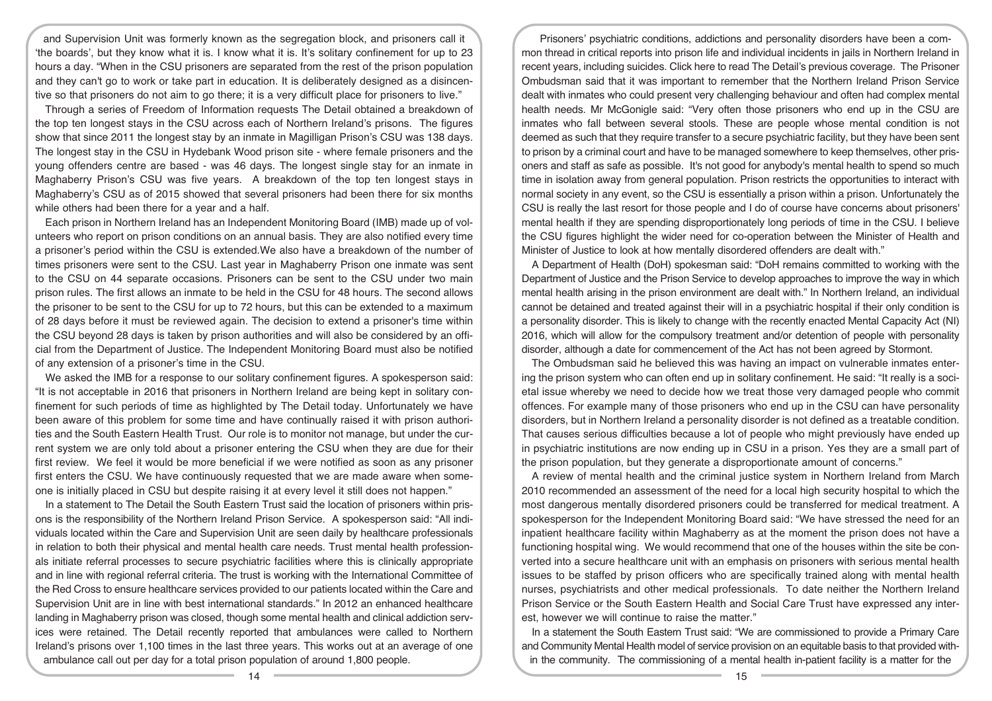and Supervision Unit was formerly known as the segregation block, and prisoners call it 'the boards', but they know what it is. I know what it is. It's solitary confinement for up to 23 hours a day. "When in the CSU prisoners are separated from the rest of the prison population and they can't go to work or take part in education. It is deliberately designed as a disincentive so that prisoners do not aim to go there; it is a very difficult place for prisoners to live."

Through a series of Freedom of Information requests The Detail obtained a breakdown of the top ten longest stays in the CSU across each of Northern Ireland's prisons. The figures show that since 2011 the longest stay by an inmate in Magilligan Prison's CSU was 138 days. The longest stay in the CSU in Hydebank Wood prison site - where female prisoners and the young offenders centre are based - was 46 days. The longest single stay for an inmate in Maghaberry Prison's CSU was five years. A breakdown of the top ten longest stays in Maghaberry's CSU as of 2015 showed that several prisoners had been there for six months while others had been there for a year and a half.

Each prison in Northern Ireland has an Independent Monitoring Board (IMB) made up of volunteers who report on prison conditions on an annual basis. They are also notified every time a prisoner's period within the CSU is extended.We also have a breakdown of the number of times prisoners were sent to the CSU. Last year in Maghaberry Prison one inmate was sent to the CSU on 44 separate occasions. Prisoners can be sent to the CSU under two main prison rules. The first allows an inmate to be held in the CSU for 48 hours. The second allows the prisoner to be sent to the CSU for up to 72 hours, but this can be extended to a maximum of 28 days before it must be reviewed again. The decision to extend a prisoner's time within the CSU beyond 28 days is taken by prison authorities and will also be considered by an official from the Department of Justice. The Independent Monitoring Board must also be notified of any extension of a prisoner's time in the CSU.

We asked the IMB for a response to our solitary confinement figures. A spokesperson said: "It is not acceptable in 2016 that prisoners in Northern Ireland are being kept in solitary confinement for such periods of time as highlighted by The Detail today. Unfortunately we have been aware of this problem for some time and have continually raised it with prison authorities and the South Eastern Health Trust. Our role is to monitor not manage, but under the current system we are only told about a prisoner entering the CSU when they are due for their first review. We feel it would be more beneficial if we were notified as soon as any prisoner first enters the CSU. We have continuously requested that we are made aware when someone is initially placed in CSU but despite raising it at every level it still does not happen."

In a statement to The Detail the South Eastern Trust said the location of prisoners within prisons is the responsibility of the Northern Ireland Prison Service. A spokesperson said: "All individuals located within the Care and Supervision Unit are seen daily by healthcare professionals in relation to both their physical and mental health care needs. Trust mental health professionals initiate referral processes to secure psychiatric facilities where this is clinically appropriate and in line with regional referral criteria. The trust is working with the International Committee of the Red Cross to ensure healthcare services provided to our patients located within the Care and Supervision Unit are in line with best international standards." In 2012 an enhanced healthcare landing in Maghaberry prison was closed, though some mental health and clinical addiction services were retained. The Detail recently reported that ambulances were called to Northern Ireland's prisons over 1,100 times in the last three years. This works out at an average of one ambulance call out per day for a total prison population of around 1,800 people.

Prisoners' psychiatric conditions, addictions and personality disorders have been a common thread in critical reports into prison life and individual incidents in jails in Northern Ireland in recent years, including suicides. Click here to read The Detail's previous coverage. The Prisoner Ombudsman said that it was important to remember that the Northern Ireland Prison Service dealt with inmates who could present very challenging behaviour and often had complex mental health needs. Mr McGonigle said: "Very often those prisoners who end up in the CSU are inmates who fall between several stools. These are people whose mental condition is not deemed as such that they require transfer to a secure psychiatric facility, but they have been sent to prison by a criminal court and have to be managed somewhere to keep themselves, other prisoners and staff as safe as possible. It's not good for anybody's mental health to spend so much time in isolation away from general population. Prison restricts the opportunities to interact with normal society in any event, so the CSU is essentially a prison within a prison. Unfortunately the CSU is really the last resort for those people and I do of course have concerns about prisoners' mental health if they are spending disproportionately long periods of time in the CSU. I believe the CSU figures highlight the wider need for co-operation between the Minister of Health and Minister of Justice to look at how mentally disordered offenders are dealt with."

A Department of Health (DoH) spokesman said: "DoH remains committed to working with the Department of Justice and the Prison Service to develop approaches to improve the way in which mental health arising in the prison environment are dealt with." In Northern Ireland, an individual cannot be detained and treated against their will in a psychiatric hospital if their only condition is a personality disorder. This is likely to change with the recently enacted Mental Capacity Act (NI) 2016, which will allow for the compulsory treatment and/or detention of people with personality disorder, although a date for commencement of the Act has not been agreed by Stormont.

The Ombudsman said he believed this was having an impact on vulnerable inmates entering the prison system who can often end up in solitary confinement. He said: "It really is a societal issue whereby we need to decide how we treat those very damaged people who commit offences. For example many of those prisoners who end up in the CSU can have personality disorders, but in Northern Ireland a personality disorder is not defined as a treatable condition. That causes serious difficulties because a lot of people who might previously have ended up in psychiatric institutions are now ending up in CSU in a prison. Yes they are a small part of the prison population, but they generate a disproportionate amount of concerns."

A review of mental health and the criminal justice system in Northern Ireland from March 2010 recommended an assessment of the need for a local high security hospital to which the most dangerous mentally disordered prisoners could be transferred for medical treatment. A spokesperson for the Independent Monitoring Board said: "We have stressed the need for an inpatient healthcare facility within Maghaberry as at the moment the prison does not have a functioning hospital wing. We would recommend that one of the houses within the site be converted into a secure healthcare unit with an emphasis on prisoners with serious mental health issues to be staffed by prison officers who are specifically trained along with mental health nurses, psychiatrists and other medical professionals. To date neither the Northern Ireland Prison Service or the South Eastern Health and Social Care Trust have expressed any interest, however we will continue to raise the matter."

In a statement the South Eastern Trust said: "We are commissioned to provide a Primary Care and Community Mental Health model of service provision on an equitable basis to that provided within the community. The commissioning of a mental health in-patient facility is a matter for the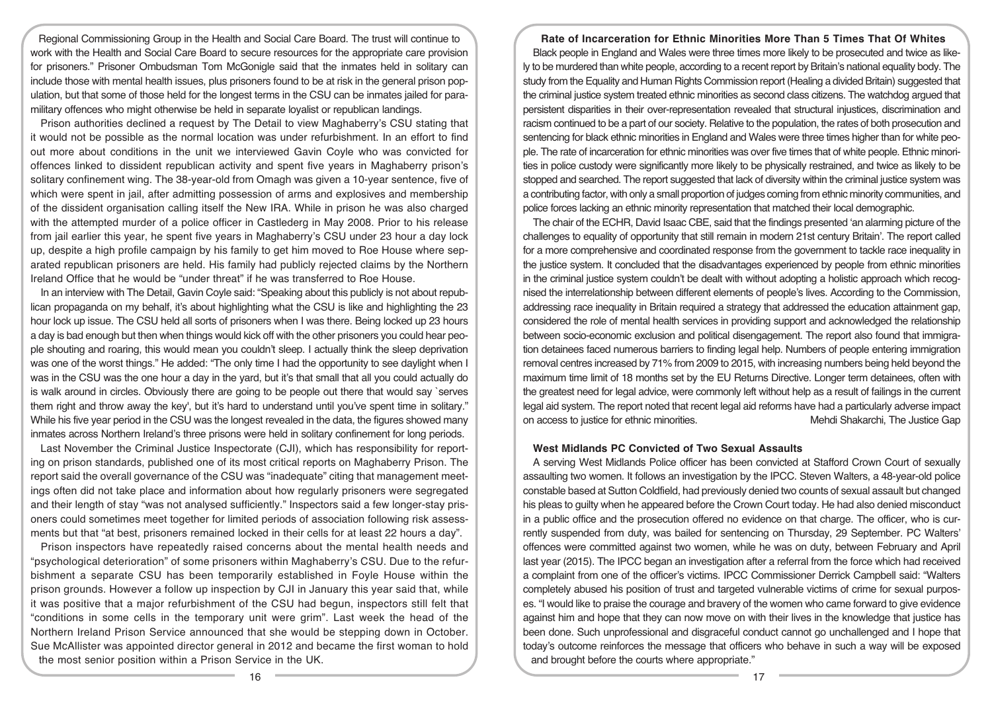Regional Commissioning Group in the Health and Social Care Board. The trust will continue to work with the Health and Social Care Board to secure resources for the appropriate care provision for prisoners." Prisoner Ombudsman Tom McGonigle said that the inmates held in solitary can include those with mental health issues, plus prisoners found to be at risk in the general prison population, but that some of those held for the longest terms in the CSU can be inmates jailed for paramilitary offences who might otherwise be held in separate loyalist or republican landings.

Prison authorities declined a request by The Detail to view Maghaberry's CSU stating that it would not be possible as the normal location was under refurbishment. In an effort to find out more about conditions in the unit we interviewed Gavin Coyle who was convicted for offences linked to dissident republican activity and spent five years in Maghaberry prison's solitary confinement wing. The 38-year-old from Omagh was given a 10-year sentence, five of which were spent in jail, after admitting possession of arms and explosives and membership of the dissident organisation calling itself the New IRA. While in prison he was also charged with the attempted murder of a police officer in Castlederg in May 2008. Prior to his release from jail earlier this year, he spent five years in Maghaberry's CSU under 23 hour a day lock up, despite a high profile campaign by his family to get him moved to Roe House where separated republican prisoners are held. His family had publicly rejected claims by the Northern Ireland Office that he would be "under threat" if he was transferred to Roe House.

In an interview with The Detail, Gavin Coyle said: "Speaking about this publicly is not about republican propaganda on my behalf, it's about highlighting what the CSU is like and highlighting the 23 hour lock up issue. The CSU held all sorts of prisoners when I was there. Being locked up 23 hours a day is bad enough but then when things would kick off with the other prisoners you could hear people shouting and roaring, this would mean you couldn't sleep. I actually think the sleep deprivation was one of the worst things." He added: "The only time I had the opportunity to see daylight when I was in the CSU was the one hour a day in the yard, but it's that small that all you could actually do is walk around in circles. Obviously there are going to be people out there that would say `serves them right and throw away the key', but it's hard to understand until you've spent time in solitary." While his five year period in the CSU was the longest revealed in the data, the figures showed many inmates across Northern Ireland's three prisons were held in solitary confinement for long periods.

Last November the Criminal Justice Inspectorate (CJI), which has responsibility for reporting on prison standards, published one of its most critical reports on Maghaberry Prison. The report said the overall governance of the CSU was "inadequate" citing that management meetings often did not take place and information about how regularly prisoners were segregated and their length of stay "was not analysed sufficiently." Inspectors said a few longer-stay prisoners could sometimes meet together for limited periods of association following risk assessments but that "at best, prisoners remained locked in their cells for at least 22 hours a day".

Prison inspectors have repeatedly raised concerns about the mental health needs and "psychological deterioration" of some prisoners within Maghaberry's CSU. Due to the refurbishment a separate CSU has been temporarily established in Foyle House within the prison grounds. However a follow up inspection by CJI in January this year said that, while it was positive that a major refurbishment of the CSU had begun, inspectors still felt that "conditions in some cells in the temporary unit were grim". Last week the head of the Northern Ireland Prison Service announced that she would be stepping down in October. Sue McAllister was appointed director general in 2012 and became the first woman to hold the most senior position within a Prison Service in the UK.

# **Rate of Incarceration for Ethnic Minorities More Than 5 Times That Of Whites**

Black people in England and Wales were three times more likely to be prosecuted and twice as likely to be murdered than white people, according to a recent report by Britain's national equality body. The study from the Equality and Human Rights Commission report (Healing a divided Britain) suggested that the criminal justice system treated ethnic minorities as second class citizens. The watchdog argued that persistent disparities in their over-representation revealed that structural injustices, discrimination and racism continued to be a part of our society. Relative to the population, the rates of both prosecution and sentencing for black ethnic minorities in England and Wales were three times higher than for white people. The rate of incarceration for ethnic minorities was over five times that of white people. Ethnic minorities in police custody were significantly more likely to be physically restrained, and twice as likely to be stopped and searched. The report suggested that lack of diversity within the criminal justice system was a contributing factor, with only a small proportion of judges coming from ethnic minority communities, and police forces lacking an ethnic minority representation that matched their local demographic.

The chair of the ECHR, David Isaac CBE, said that the findings presented 'an alarming picture of the challenges to equality of opportunity that still remain in modern 21st century Britain'. The report called for a more comprehensive and coordinated response from the government to tackle race inequality in the justice system. It concluded that the disadvantages experienced by people from ethnic minorities in the criminal justice system couldn't be dealt with without adopting a holistic approach which recognised the interrelationship between different elements of people's lives. According to the Commission, addressing race inequality in Britain required a strategy that addressed the education attainment gap, considered the role of mental health services in providing support and acknowledged the relationship between socio-economic exclusion and political disengagement. The report also found that immigration detainees faced numerous barriers to finding legal help. Numbers of people entering immigration removal centres increased by 71% from 2009 to 2015, with increasing numbers being held beyond the maximum time limit of 18 months set by the EU Returns Directive. Longer term detainees, often with the greatest need for legal advice, were commonly left without help as a result of failings in the current legal aid system. The report noted that recent legal aid reforms have had a particularly adverse impact on access to justice for ethnic minorities. Mehdi Shakarchi, The Justice Gap

# **West Midlands PC Convicted of Two Sexual Assaults**

A serving West Midlands Police officer has been convicted at Stafford Crown Court of sexually assaulting two women. It follows an investigation by the IPCC. Steven Walters, a 48-year-old police constable based at Sutton Coldfield, had previously denied two counts of sexual assault but changed his pleas to guilty when he appeared before the Crown Court today. He had also denied misconduct in a public office and the prosecution offered no evidence on that charge. The officer, who is currently suspended from duty, was bailed for sentencing on Thursday, 29 September. PC Walters' offences were committed against two women, while he was on duty, between February and April last year (2015). The IPCC began an investigation after a referral from the force which had received a complaint from one of the officer's victims. IPCC Commissioner Derrick Campbell said: "Walters completely abused his position of trust and targeted vulnerable victims of crime for sexual purposes. "I would like to praise the courage and bravery of the women who came forward to give evidence against him and hope that they can now move on with their lives in the knowledge that justice has been done. Such unprofessional and disgraceful conduct cannot go unchallenged and I hope that today's outcome reinforces the message that officers who behave in such a way will be exposed and brought before the courts where appropriate."